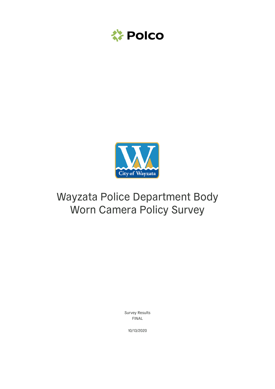



# Wayzata Police Department Body Worn Camera Policy Survey

Survey Results FINAL

10/13/2020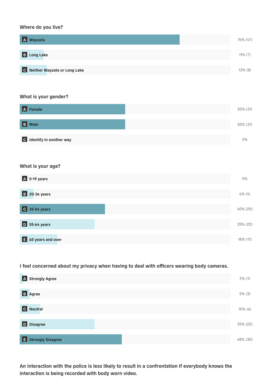## Where do you live?

## What is your gender?

## What is your age?

I feel concerned about my privacy when having to deal with officers wearing body cameras.

2% (1)

| <b>A</b> Wayzata               | 76% (47)   |
|--------------------------------|------------|
| <b>B</b> Long Lake             | $11\%$ (7) |
| C Neither Wayzata or Long Lake | $13\%$ (8) |

| A Female                  | 50% (31) |
|---------------------------|----------|
| <b>B</b> Male             | 50% (31) |
| C Identify in another way | 0%       |

An interaction with the police is less likely to result in a confrontation if everybody knows the interaction is being recorded with body worn video.

| A 0-19 years                     | 0%          |
|----------------------------------|-------------|
| <b>B</b> 20-34 years             | $6\%$ (4)   |
| C 35-54 years                    | 40% (25)    |
| D 55-64 years                    | 35% (22)    |
| $\overline{E}$ 65 years and over | $18\%$ (11) |

| <b>B</b> Agree      | $5\%$ (3)  |
|---------------------|------------|
| C Neutral           | $10\%$ (6) |
| D Disagree          | 35% (22)   |
| E Strongly Disagree | 48% (30)   |

| A Strongly Agree |  |  |  |
|------------------|--|--|--|
|------------------|--|--|--|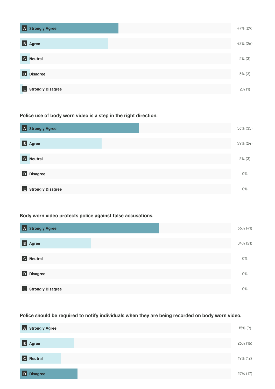## Police use of body worn video is a step in the right direction.

# Body worn video protects police against false accusations.

| A Strongly Agree              | 47% (29)  |
|-------------------------------|-----------|
| B Agree                       | 42% (26)  |
| $ {\bf c} $<br><b>Neutral</b> | $5\%$ (3) |
| D Disagree                    | $5\%$ (3) |
| E Strongly Disagree           | $2\%$ (1) |

## Police should be required to notify individuals when they are being recorded on body worn video.

| A Strongly Agree                   | 56% (35)  |  |
|------------------------------------|-----------|--|
| B Agree                            | 39% (24)  |  |
| $ \mathfrak{c} $<br><b>Neutral</b> | $5\%$ (3) |  |
| <b>D</b> Disagree                  | 0%        |  |
| <b>E</b> Strongly Disagree         | 0%        |  |

| A Strongly Agree     | 66% (41) |
|----------------------|----------|
| <b>B</b> Agree       | 34% (21) |
| c <br><b>Neutral</b> | 0%       |
| D Disagree           | 0%       |
| E Strongly Disagree  | 0%       |

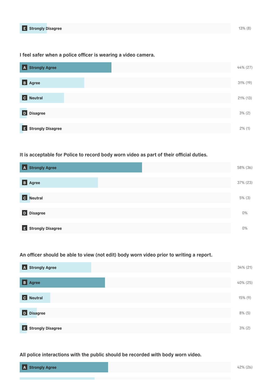I feel safer when a police officer is wearing a video camera.

It is acceptable for Police to record body worn video as part of their official duties.

An officer should be able to view (not edit) body worn video prior to writing a report.

| A Strongly Agree                 | 44% (27)    |
|----------------------------------|-------------|
| <b>B</b> Agree                   | $31\%$ (19) |
| $ \mathbf{c} $<br><b>Neutral</b> | $21\%$ (13) |
| D Disagree                       | $3\% (2)$   |
| E Strongly Disagree              | $2\%$ (1)   |

## All police interactions with the public should be recorded with body worn video.

| A Strongly Agree    | 58% (36)  |
|---------------------|-----------|
| B Agree             | 37% (23)  |
| C Neutral           | $5\%$ (3) |
| D Disagree          | 0%        |
| E Strongly Disagree | 0%        |

| <b>A</b> Strongly Agree | $34\%$ (21) |
|-------------------------|-------------|
| B Agree                 | 40% (25)    |



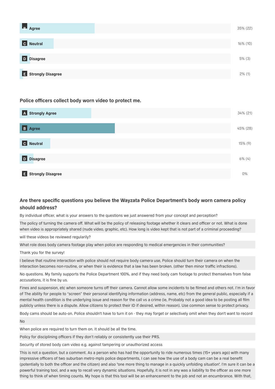Police officers collect body worn video to protect me.

## Are there specific questions you believe the Wayzata Police Department's body worn camera policy should address?

By individual officer, what is your answers to the questions we just answered from your concept and perception?

The policy of turning the camera off. What will be the policy of releasing footage whether it clears and officer or not. What is done when video is appropriately shared (nude video, graphic, etc). How long is video kept that is not part of a criminal proceeding?

will these videos be reviewed regularily?

What role does body camera footage play when police are responding to medical emergencies in their communities?

Thank you for the survey!

I believe that routine interaction with police should not require body camera use, Police should turn their camera on when the interaction becomes non-routine, or when their is evidence that a law has been broken. (other then minor traffic infractions).

No questions. My family supports the Police Department 100%, and if they need body cam footage to protect themselves from false accusations, it is fine by us.

| <b>B</b> Agree      | 35% (22)    |
|---------------------|-------------|
|                     |             |
| C Neutral           | $16\%$ (10) |
|                     |             |
| D Disagree          | $5\%$ (3)   |
|                     |             |
| E Strongly Disagree | $2\%$ (1)   |

Fines and suspension, etc when someone turns off their camera. Cannot allow some incidents to be filmed and others not. I'm in favor of The ability for people to "screen" their personal identifying information (address, name, etc) from the general public, especially if a mental health condition is the underlying issue and reason for the call vs a crime (ie, Probably not a good idea to be posting all film publicly unless there is a dispute. Allow citizens to protect their ID if desired, within reason). Use common sense to protect privacy.

| A Strongly Agree          | 34% (21)   |
|---------------------------|------------|
| B  <br><b>Agree</b>       | 45% (28)   |
| $ \mathbf{c} $<br>Neutral | $15\%$ (9) |
| D Disagree                | $6\%$ (4)  |
| E Strongly Disagree       | 0%         |

Body cams should be auto-on. Police shouldn't have to turn it on - they may forget or selectively omit when they don't want to record

No

When police are required to turn them on. It should be all the time.

Policy for disciplining officers if they don't reliably or consistently use their PRS.

Security of stored body cam video e.g. against tampering or unauthorized access

This is not a question, but a comment. As a person who has had the opportunity to ride numerous times (15+ years ago) with many impressive officers of two suburban metro-mpls police departments, I can see how the use of a body cam can be a real benefit (potentially to both the officer and the citizen) and also "one more thing to manage in a quickly unfolding situation". I'm sure it can be a powerful training tool, and a way to recall very dynamic situations. Hopefully, it is not in any was a liability to the officer as one more thing to think of when timing counts. My hope is that this tool will be an enhancement to the job and not an encumbrance. With that,